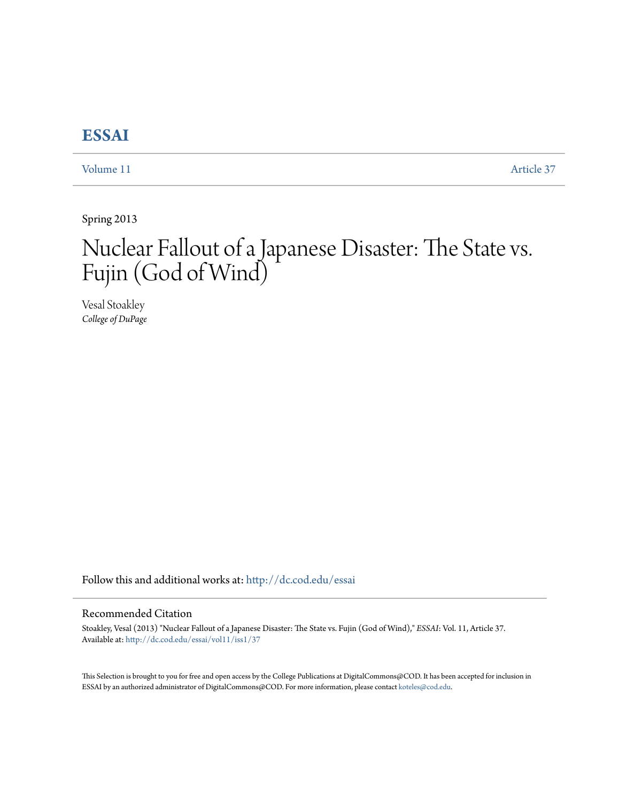## **[ESSAI](http://dc.cod.edu/essai?utm_source=dc.cod.edu%2Fessai%2Fvol11%2Fiss1%2F37&utm_medium=PDF&utm_campaign=PDFCoverPages)**

[Volume 11](http://dc.cod.edu/essai/vol11?utm_source=dc.cod.edu%2Fessai%2Fvol11%2Fiss1%2F37&utm_medium=PDF&utm_campaign=PDFCoverPages) [Article 37](http://dc.cod.edu/essai/vol11/iss1/37?utm_source=dc.cod.edu%2Fessai%2Fvol11%2Fiss1%2F37&utm_medium=PDF&utm_campaign=PDFCoverPages)

Spring 2013

# Nuclear Fallout of a Japanese Disaster: The State vs. Fujin (God of Wind)

Vesal Stoakley *College of DuPage*

Follow this and additional works at: [http://dc.cod.edu/essai](http://dc.cod.edu/essai?utm_source=dc.cod.edu%2Fessai%2Fvol11%2Fiss1%2F37&utm_medium=PDF&utm_campaign=PDFCoverPages)

### Recommended Citation

Stoakley, Vesal (2013) "Nuclear Fallout of a Japanese Disaster: The State vs. Fujin (God of Wind)," *ESSAI*: Vol. 11, Article 37. Available at: [http://dc.cod.edu/essai/vol11/iss1/37](http://dc.cod.edu/essai/vol11/iss1/37?utm_source=dc.cod.edu%2Fessai%2Fvol11%2Fiss1%2F37&utm_medium=PDF&utm_campaign=PDFCoverPages)

This Selection is brought to you for free and open access by the College Publications at DigitalCommons@COD. It has been accepted for inclusion in ESSAI by an authorized administrator of DigitalCommons@COD. For more information, please contact [koteles@cod.edu](mailto:koteles@cod.edu).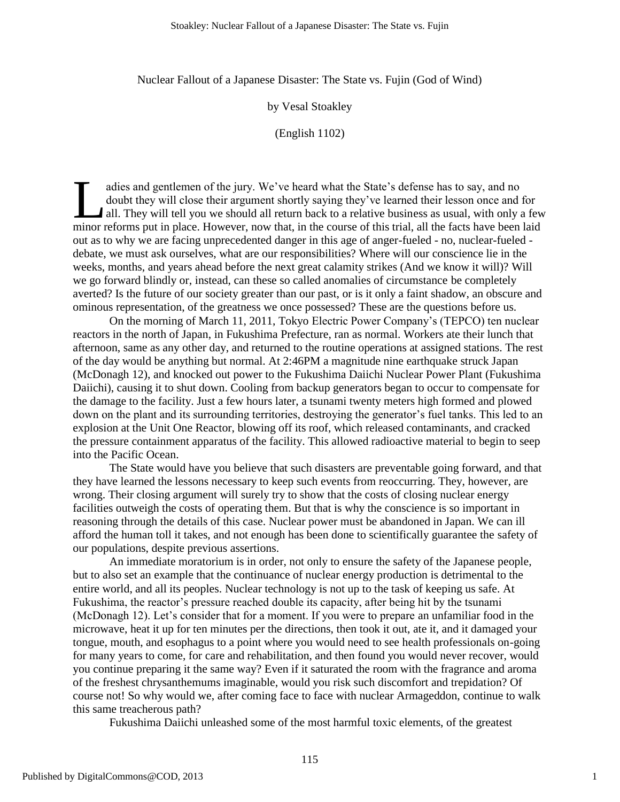Nuclear Fallout of a Japanese Disaster: The State vs. Fujin (God of Wind)

by Vesal Stoakley

(English 1102)

adies and gentlemen of the jury. We've heard what the State's defense has to say, and no doubt they will close their argument shortly saying they've learned their lesson once and for A all. They will tell you we should all return back to a relative business as usual, with only a few adies and gentlemen of the jury. We've heard what the State's defense has to say, and no doubt they will close their argument shortly saying they've learned their lesson once and for all. They will tell you we should all r out as to why we are facing unprecedented danger in this age of anger-fueled - no, nuclear-fueled debate, we must ask ourselves, what are our responsibilities? Where will our conscience lie in the weeks, months, and years ahead before the next great calamity strikes (And we know it will)? Will we go forward blindly or, instead, can these so called anomalies of circumstance be completely averted? Is the future of our society greater than our past, or is it only a faint shadow, an obscure and ominous representation, of the greatness we once possessed? These are the questions before us.

On the morning of March 11, 2011, Tokyo Electric Power Company's (TEPCO) ten nuclear reactors in the north of Japan, in Fukushima Prefecture, ran as normal. Workers ate their lunch that afternoon, same as any other day, and returned to the routine operations at assigned stations. The rest of the day would be anything but normal. At 2:46PM a magnitude nine earthquake struck Japan (McDonagh 12), and knocked out power to the Fukushima Daiichi Nuclear Power Plant (Fukushima Daiichi), causing it to shut down. Cooling from backup generators began to occur to compensate for the damage to the facility. Just a few hours later, a tsunami twenty meters high formed and plowed down on the plant and its surrounding territories, destroying the generator's fuel tanks. This led to an explosion at the Unit One Reactor, blowing off its roof, which released contaminants, and cracked the pressure containment apparatus of the facility. This allowed radioactive material to begin to seep into the Pacific Ocean.

The State would have you believe that such disasters are preventable going forward, and that they have learned the lessons necessary to keep such events from reoccurring. They, however, are wrong. Their closing argument will surely try to show that the costs of closing nuclear energy facilities outweigh the costs of operating them. But that is why the conscience is so important in reasoning through the details of this case. Nuclear power must be abandoned in Japan. We can ill afford the human toll it takes, and not enough has been done to scientifically guarantee the safety of our populations, despite previous assertions.

An immediate moratorium is in order, not only to ensure the safety of the Japanese people, but to also set an example that the continuance of nuclear energy production is detrimental to the entire world, and all its peoples. Nuclear technology is not up to the task of keeping us safe. At Fukushima, the reactor's pressure reached double its capacity, after being hit by the tsunami (McDonagh 12). Let's consider that for a moment. If you were to prepare an unfamiliar food in the microwave, heat it up for ten minutes per the directions, then took it out, ate it, and it damaged your tongue, mouth, and esophagus to a point where you would need to see health professionals on-going for many years to come, for care and rehabilitation, and then found you would never recover, would you continue preparing it the same way? Even if it saturated the room with the fragrance and aroma of the freshest chrysanthemums imaginable, would you risk such discomfort and trepidation? Of course not! So why would we, after coming face to face with nuclear Armageddon, continue to walk this same treacherous path?

Fukushima Daiichi unleashed some of the most harmful toxic elements, of the greatest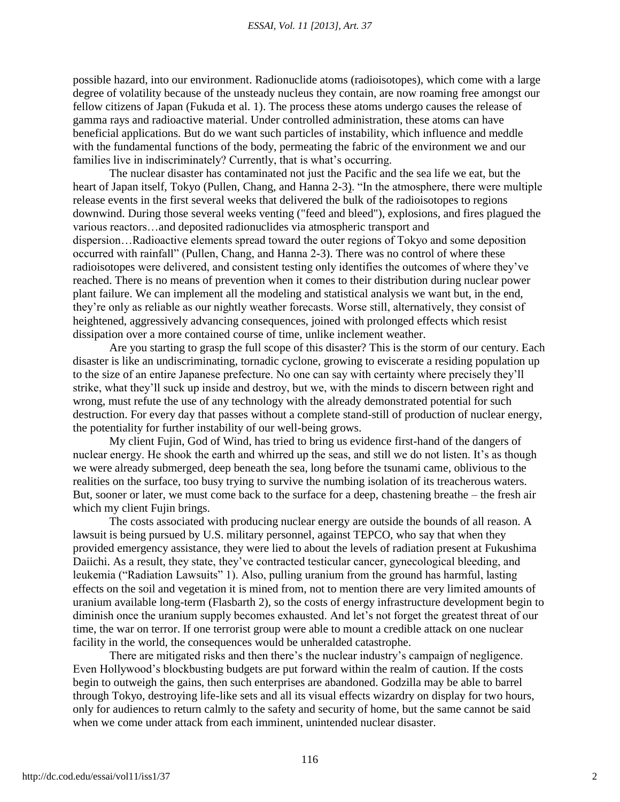possible hazard, into our environment. Radionuclide atoms (radioisotopes), which come with a large degree of volatility because of the unsteady nucleus they contain, are now roaming free amongst our fellow citizens of Japan (Fukuda et al. 1). The process these atoms undergo causes the release of gamma rays and radioactive material. Under controlled administration, these atoms can have beneficial applications. But do we want such particles of instability, which influence and meddle with the fundamental functions of the body, permeating the fabric of the environment we and our families live in indiscriminately? Currently, that is what's occurring.

The nuclear disaster has contaminated not just the Pacific and the sea life we eat, but the heart of Japan itself, Tokyo (Pullen, Chang, and Hanna 2-3). "In the atmosphere, there were multiple release events in the first several weeks that delivered the bulk of the radioisotopes to regions downwind. During those several weeks venting ("feed and bleed"), explosions, and fires plagued the various reactors…and deposited radionuclides via atmospheric transport and dispersion…Radioactive elements spread toward the outer regions of Tokyo and some deposition occurred with rainfall" (Pullen, Chang, and Hanna 2-3). There was no control of where these radioisotopes were delivered, and consistent testing only identifies the outcomes of where they've reached. There is no means of prevention when it comes to their distribution during nuclear power plant failure. We can implement all the modeling and statistical analysis we want but, in the end, they're only as reliable as our nightly weather forecasts. Worse still, alternatively, they consist of heightened, aggressively advancing consequences, joined with prolonged effects which resist dissipation over a more contained course of time, unlike inclement weather.

Are you starting to grasp the full scope of this disaster? This is the storm of our century. Each disaster is like an undiscriminating, tornadic cyclone, growing to eviscerate a residing population up to the size of an entire Japanese prefecture. No one can say with certainty where precisely they'll strike, what they'll suck up inside and destroy, but we, with the minds to discern between right and wrong, must refute the use of any technology with the already demonstrated potential for such destruction. For every day that passes without a complete stand-still of production of nuclear energy, the potentiality for further instability of our well-being grows.

My client Fujin, God of Wind, has tried to bring us evidence first-hand of the dangers of nuclear energy. He shook the earth and whirred up the seas, and still we do not listen. It's as though we were already submerged, deep beneath the sea, long before the tsunami came, oblivious to the realities on the surface, too busy trying to survive the numbing isolation of its treacherous waters. But, sooner or later, we must come back to the surface for a deep, chastening breathe – the fresh air which my client Fujin brings.

The costs associated with producing nuclear energy are outside the bounds of all reason. A lawsuit is being pursued by U.S. military personnel, against TEPCO, who say that when they provided emergency assistance, they were lied to about the levels of radiation present at Fukushima Daiichi. As a result, they state, they've contracted testicular cancer, gynecological bleeding, and leukemia ("Radiation Lawsuits" 1). Also, pulling uranium from the ground has harmful, lasting effects on the soil and vegetation it is mined from, not to mention there are very limited amounts of uranium available long-term (Flasbarth 2), so the costs of energy infrastructure development begin to diminish once the uranium supply becomes exhausted. And let's not forget the greatest threat of our time, the war on terror. If one terrorist group were able to mount a credible attack on one nuclear facility in the world, the consequences would be unheralded catastrophe.

There are mitigated risks and then there's the nuclear industry's campaign of negligence. Even Hollywood's blockbusting budgets are put forward within the realm of caution. If the costs begin to outweigh the gains, then such enterprises are abandoned. Godzilla may be able to barrel through Tokyo, destroying life-like sets and all its visual effects wizardry on display for two hours, only for audiences to return calmly to the safety and security of home, but the same cannot be said when we come under attack from each imminent, unintended nuclear disaster.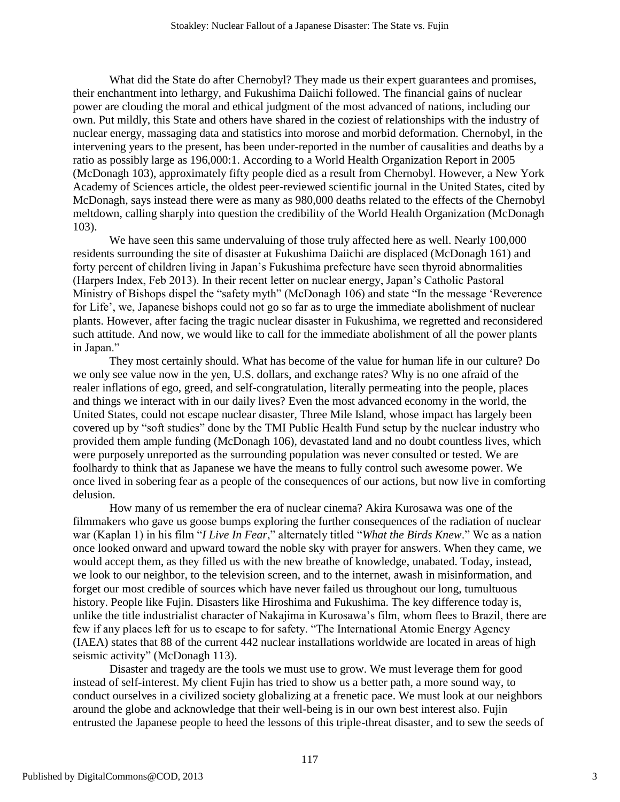What did the State do after Chernobyl? They made us their expert guarantees and promises, their enchantment into lethargy, and Fukushima Daiichi followed. The financial gains of nuclear power are clouding the moral and ethical judgment of the most advanced of nations, including our own. Put mildly, this State and others have shared in the coziest of relationships with the industry of nuclear energy, massaging data and statistics into morose and morbid deformation. Chernobyl, in the intervening years to the present, has been under-reported in the number of causalities and deaths by a ratio as possibly large as 196,000:1. According to a World Health Organization Report in 2005 (McDonagh 103), approximately fifty people died as a result from Chernobyl. However, a New York Academy of Sciences article, the oldest peer-reviewed scientific journal in the United States, cited by McDonagh, says instead there were as many as 980,000 deaths related to the effects of the Chernobyl meltdown, calling sharply into question the credibility of the World Health Organization (McDonagh 103).

We have seen this same undervaluing of those truly affected here as well. Nearly 100,000 residents surrounding the site of disaster at Fukushima Daiichi are displaced (McDonagh 161) and forty percent of children living in Japan's Fukushima prefecture have seen thyroid abnormalities (Harpers Index, Feb 2013). In their recent letter on nuclear energy, Japan's Catholic Pastoral Ministry of Bishops dispel the "safety myth" (McDonagh 106) and state "In the message 'Reverence for Life', we, Japanese bishops could not go so far as to urge the immediate abolishment of nuclear plants. However, after facing the tragic nuclear disaster in Fukushima, we regretted and reconsidered such attitude. And now, we would like to call for the immediate abolishment of all the power plants in Japan."

They most certainly should. What has become of the value for human life in our culture? Do we only see value now in the yen, U.S. dollars, and exchange rates? Why is no one afraid of the realer inflations of ego, greed, and self-congratulation, literally permeating into the people, places and things we interact with in our daily lives? Even the most advanced economy in the world, the United States, could not escape nuclear disaster, Three Mile Island, whose impact has largely been covered up by "soft studies" done by the TMI Public Health Fund setup by the nuclear industry who provided them ample funding (McDonagh 106), devastated land and no doubt countless lives, which were purposely unreported as the surrounding population was never consulted or tested. We are foolhardy to think that as Japanese we have the means to fully control such awesome power. We once lived in sobering fear as a people of the consequences of our actions, but now live in comforting delusion.

How many of us remember the era of nuclear cinema? Akira Kurosawa was one of the filmmakers who gave us goose bumps exploring the further consequences of the radiation of nuclear war (Kaplan 1) in his film "*I Live In Fear*," alternately titled "What the Birds Knew." We as a nation once looked onward and upward toward the noble sky with prayer for answers. When they came, we would accept them, as they filled us with the new breathe of knowledge, unabated. Today, instead, we look to our neighbor, to the television screen, and to the internet, awash in misinformation, and forget our most credible of sources which have never failed us throughout our long, tumultuous history. People like Fujin. Disasters like Hiroshima and Fukushima. The key difference today is, unlike the title industrialist character of Nakajima in Kurosawa's film, whom flees to Brazil, there are few if any places left for us to escape to for safety. "The International Atomic Energy Agency (IAEA) states that 88 of the current 442 nuclear installations worldwide are located in areas of high seismic activity" (McDonagh 113).

Disaster and tragedy are the tools we must use to grow. We must leverage them for good instead of self-interest. My client Fujin has tried to show us a better path, a more sound way, to conduct ourselves in a civilized society globalizing at a frenetic pace. We must look at our neighbors around the globe and acknowledge that their well-being is in our own best interest also. Fujin entrusted the Japanese people to heed the lessons of this triple-threat disaster, and to sew the seeds of